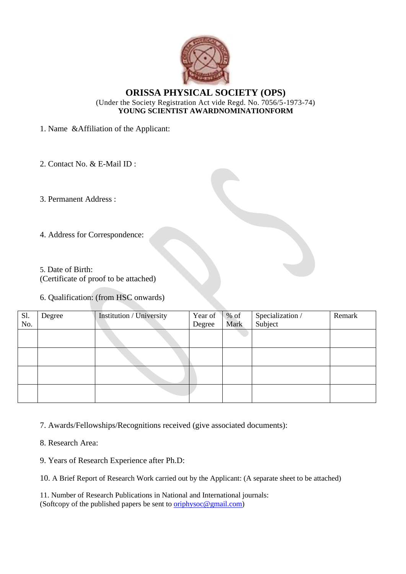

## **ORISSA PHYSICAL SOCIETY (OPS)** (Under the Society Registration Act vide Regd. No. 7056/5-1973-74) **YOUNG SCIENTIST AWARDNOMINATIONFORM**

1. Name &Affiliation of the Applicant:

2. Contact No. & E-Mail ID :

3. Permanent Address :

- 4. Address for Correspondence:
- 5. Date of Birth:

(Certificate of proof to be attached)

6. Qualification: (from HSC onwards)

| Sl.<br>No. | Degree | Institution / University | Year of<br>Degree | $%$ of<br>Mark | Specialization /<br>Subject | Remark |
|------------|--------|--------------------------|-------------------|----------------|-----------------------------|--------|
|            |        |                          |                   |                |                             |        |
|            |        |                          |                   |                |                             |        |
|            |        |                          |                   |                |                             |        |
|            |        |                          |                   |                |                             |        |

7. Awards/Fellowships/Recognitions received (give associated documents):

8. Research Area:

9. Years of Research Experience after Ph.D:

10. A Brief Report of Research Work carried out by the Applicant: (A separate sheet to be attached)

11. Number of Research Publications in National and International journals: (Softcopy of the published papers be sent t[o oriphysoc@gmail.com\)](mailto:oriphysoc@gmail.com)